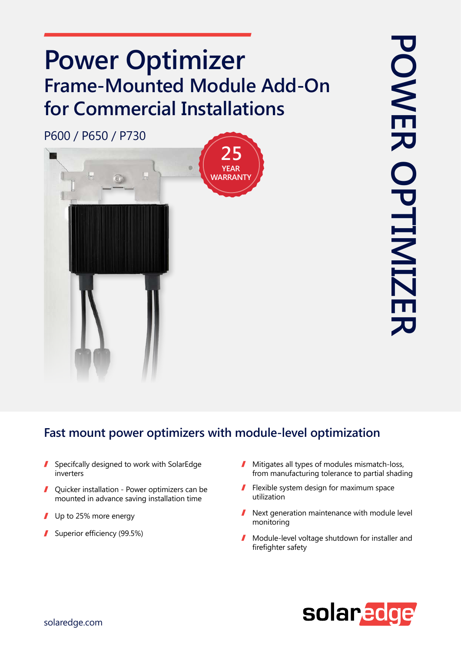# **Power Optimizer Frame-Mounted Module Add-On for Commercial Installations**

P600 / P650 / P730



### Fast mount power optimizers with module-level optimization

- $\blacksquare$  Specifcally designed to work with SolarEdge inverters
- $\blacksquare$  Quicker installation Power optimizers can be mounted in advance saving installation time
- Up to 25% more energy  $\mathbf{r}$
- Superior efficiency (99.5%)
- $\blacksquare$  Mitigates all types of modules mismatch-loss, from manufacturing tolerance to partial shading
- $\blacksquare$  Flexible system design for maximum space utilization
- $\blacksquare$  Next generation maintenance with module level monitoring
- $\blacksquare$  Module-level voltage shutdown for installer and firefighter safety